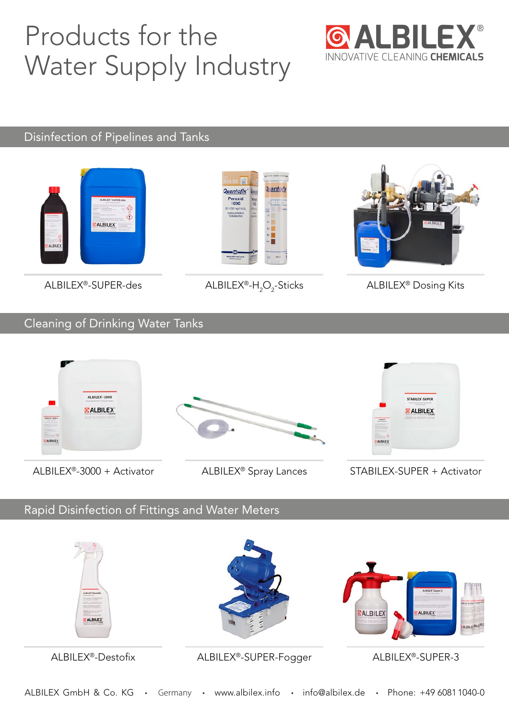# Products for the Water Supply Industry



#### Disinfection of Pipelines and Tanks





ALBILEX®-SUPER-des ALBILEX®-H<sub>2</sub>O<sub>2</sub>-Sticks ALBILEX® Dosing Kits



#### Cleaning of Drinking Water Tanks





ALBILEX®-Destofix ALBILEX®-SUPER-Fogger ALBILEX®-SUPER-3